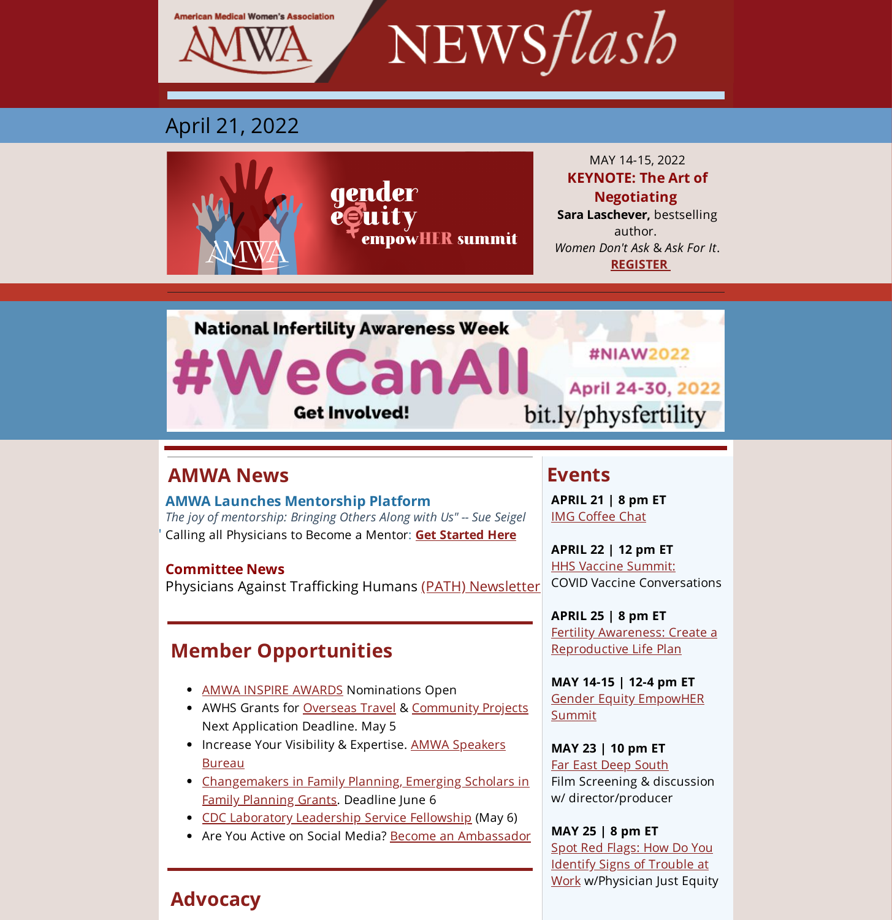

April 21, 2022



MAY 14-15, 2022 **KEYNOTE: The Art of Negotiating**

**Sara Laschever,** bestselling author. *Women Don't Ask* & *Ask For It*. **REGISTER**

**National Infertility Awareness Week** #NIAW2022 WeCanA April 24-30, 2022 bit.ly/physfertility **Get Involved!** 

## **AMWA News**

**AMWA Launches Mentorship Platform**

*The joy of mentorship: Bringing Others Along with Us" -- Sue Seigel* Calling all Physicians to Become a Mentor: **Get Started Here**

### **Committee News**

'

Physicians Against Trafficking Humans (PATH) Newsletter

# **Member Opportunities**

- AMWA INSPIRE AWARDS Nominations Open
- AWHS Grants for Overseas Travel & Community Projects Next Application Deadline. May 5
- Increase Your Visibility & Expertise. AMWA Speakers Bureau
- Changemakers in Family Planning, Emerging Scholars in **Family Planning Grants. Deadline June 6**
- CDC Laboratory Leadership Service Fellowship (May 6)
- Are You Active on Social Media? Become an Ambassador

## **Events**

**APRIL 21 | 8 pm ET** IMG Coffee Chat

**APRIL 22 | 12 pm ET** HHS Vaccine Summit: COVID Vaccine Conversations

**APRIL 25 | 8 pm ET** Fertility Awareness: Create a Reproductive Life Plan

**MAY 14-15 | 12-4 pm ET** Gender Equity EmpowHER **Summit** 

**MAY 23 | 10 pm ET** Far East Deep South Film Screening & discussion w/ director/producer

**MAY 25 | 8 pm ET** Spot Red Flags: How Do You **Identify Signs of Trouble at** Work w/Physician Just Equity

# **Advocacy**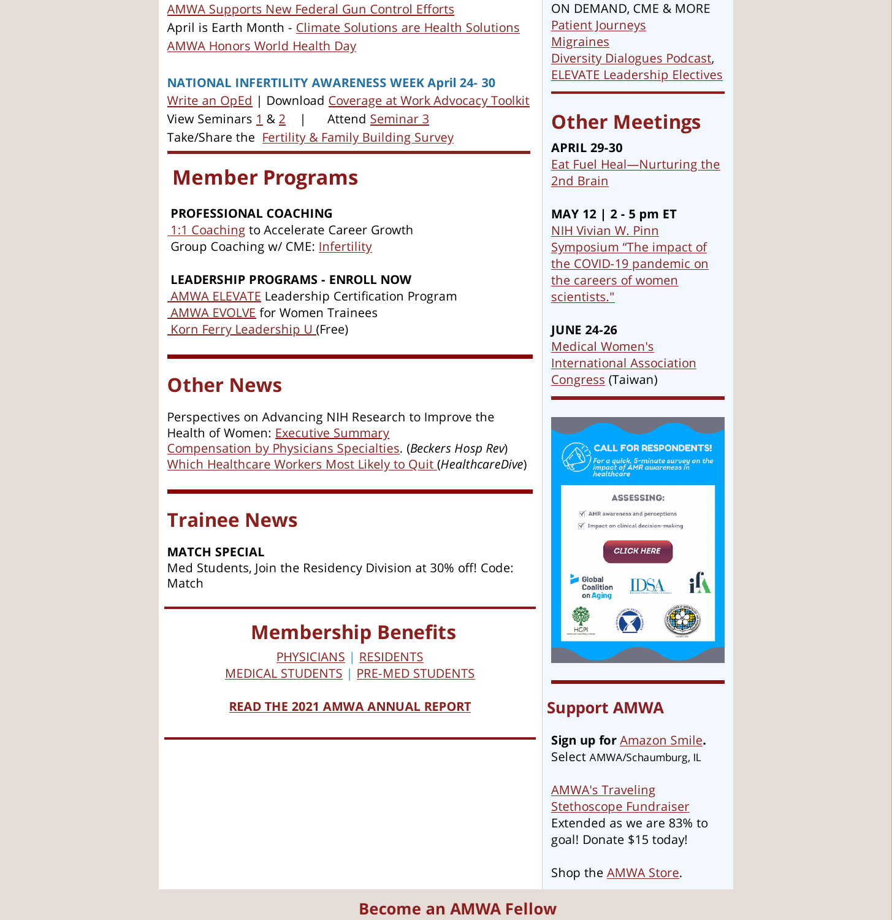AMWA Supports New Federal Gun Control Efforts April is Earth Month - Climate Solutions are Health Solutions AMWA Honors World Health Day

**NATIONAL INFERTILITY AWARENESS WEEK April 24- 30** Write an OpEd | Download Coverage at Work Advocacy Toolkit View Seminars  $1 & 2 \quad |$  Attend Seminar 3 Take/Share the Fertility & Family Building Survey

## **Member Programs**

#### **PROFESSIONAL COACHING**

1:1 Coaching to Accelerate Career Growth Group Coaching w/ CME: Infertility

#### **LEADERSHIP PROGRAMS - ENROLL NOW**

**AMWA ELEVATE Leadership Certification Program** AMWA EVOLVE for Women Trainees Korn Ferry Leadership U (Free)

## **Other News**

Perspectives on Advancing NIH Research to Improve the Health of Women: Executive Summary Compensation by Physicians Specialties. (*Beckers Hosp Rev*) Which Healthcare Workers Most Likely to Quit (*HealthcareDive*)

## **Trainee News**

#### **MATCH SPECIAL**

Med Students, Join the Residency Division at 30% off! Code: Match

## **Membership Benefits**

PHYSICIANS | RESIDENTS MEDICAL STUDENTS | PRE-MED STUDENTS

**READ THE 2021 AMWA ANNUAL REPORT**

ON DEMAND, CME & MORE Patient Journeys **Migraines** Diversity Dialogues Podcast, ELEVATE Leadership Electives

## **Other Meetings**

**APRIL 29-30** Eat Fuel Heal—Nurturing the 2nd Brain

**MAY 12 | 2 - 5 pm ET** NIH Vivian W. Pinn Symposium "The impact of the COVID-19 pandemic on the careers of women scientists."

#### **JUNE 24-26**

Medical Women's International Association Congress (Taiwan)



 $\sqrt{\phantom{a}}$  AMR awareness and perceptions  $\sqrt{\ }$  Impact on clinical decision-making



#### **Support AMWA**

**Sign up for** Amazon Smile**.** Select AMWA/Schaumburg, IL

#### AMWA's Traveling

Stethoscope Fundraiser Extended as we are 83% to goal! Donate \$15 today!

Shop the AMWA Store.

### **Become an AMWA Fellow**